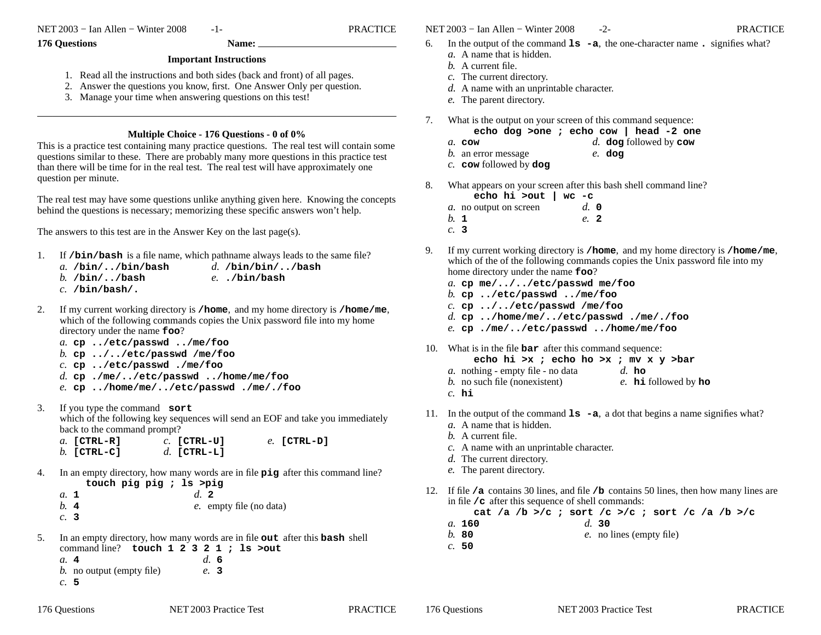NET 2003 <sup>−</sup> Ian Allen − Winter 2008 -1- PRACTICE

## **176 Questions Name:**

**Important Instructions**

- 1. Read all the instructions and both sides (back and front) of all pages.
- 2. Answer the questions you know, first. One Answer Only per question.
- 3. Manage your time when answering questions on this test!

## **Multiple Choice - 176 Questions - 0 of 0%**

 This is a practice test containing many practice questions. The real test will contain somequestions similar to these. There are probably many more questions in this practice testthan there will be time for in the real test. The real test will have approximately onequestion per minute.

The real test may have some questions unlike anything given here. Knowing the conceptsbehind the questions is necessary; memorizing these specific answers won't help.

The answers to this test are in the Answer Key on the last page(s).

- 1. If **/bin/bash** is a file name, which pathname always leads to the same file? *a.* **/bin/../bin/bash***b.* **/bin/../bash** *c.* **/bin/bash/.***d.* **/bin/bin/../bash***e.* **./bin/bash**
- $2.$  my current working directory is **/home**, and my home directory is **/home/me**, which of the following commands copies the Unix password file into my home directory under the name **foo**?
	- *a.* **cp ../etc/passwd ../me/foo**
	- *b.* **cp ../../etc/passwd /me/foo**
	- *c.* **cp ../etc/passwd ./me/foo**
	- *d.* **cp ./me/../etc/passwd ../home/me/foo**
	- *e.* **cp ../home/me/../etc/passwd ./me/./foo**
- $3.$  you type the command **sort** which of the following key sequences will send an EOF and take you immediatelyback to the command prompt?
	- *c.* **[CTRL-U]***a.* **[CTRL-R]** *b.* **[CTRL-C]** *d.* **[CTRL-L]***e.* **[CTRL-D]**
- 4. In an empty directory, how many words are in file **pig** after this command line? **touch pig pig ; ls >pig**

*a.* **<sup>1</sup>** *b.* **<sup>4</sup>** *c.* **3***d.* **<sup>2</sup>***e.* empty file (no data)

5. In an empty directory, how many words are in file **out** after this **bash** shell command line? **touch 1 2 3 2 1 ; ls >out***a.* **<sup>4</sup>***d.* **6**

 *b.* no output (empty file)*c.* **5***e.* **3**

```
NET 2003 − Ian Allen − Winter 2008 -2- PRACTICE
```
- $6.$  the output of the command **ls -a**, the one-character name **.** signifies what?
	- *a.* A name that is hidden.
	- *b.* A current file.
	- *c.* The current directory.
	- *d.* A name with an unprintable character.
	- *e.* The parent directory.
- 7. What is the output on your screen of this command sequence:
	- **echo dog >one ; echo cow | head -2 one**
	- *d.* **dog** followed by **cow** *a.* **cow**
	- *b.* an error message*e.* **dog**
	- *c.* **cow** followed by **dog**
- 8. What appears on your screen after this bash shell command line?
	- **echo hi >out | wc -c** *d.* **0***a.* no output on screen*b.* **<sup>1</sup>***e.* **<sup>2</sup>**
	- *c.* **3**
- 9. If my current working directory is **/home**, and my home directory is **/home/me**, which of the of the following commands copies the Unix password file into my home directory under the name **foo**?
	- *a.* **cp me/../../etc/passwd me/foo**
	- *b.* **cp ../etc/passwd ../me/foo**
	- *c.* **cp ../../etc/passwd /me/foo**
	- *d.* **cp ../home/me/../etc/passwd ./me/./foo**
	- *e.* **cp ./me/../etc/passwd ../home/me/foo**
- 10. What is in the file **bar** after this command sequence:
	- **echo hi >x ; echo ho >x ; mv x y >bar**
	- *a.* nothing empty file no data*d.* **ho**
	- *b.* no such file (nonexistent)*e.* **hi** followed by **ho**
	- *c.* **hi**
- 11. In the output of the command **ls -a**, <sup>a</sup> dot that begins a name signifies what?
	- *a.* A name that is hidden.
	- *b.* A current file.
	- *c.* A name with an unprintable character.
	- *d.* The current directory.
	- *e.* The parent directory.
- 12. If file **/a** contains 30 lines, and file **/b** contains 50 lines, then how many lines are in file **/c** after this sequence of shell commands:
	- **cat /a /b >/c ; sort /c >/c ; sort /c /a /b >/c**
	- *a.* **160***d.* **30**
	- *b.* **80***e.* no lines (empty file)
	- *c.* **50**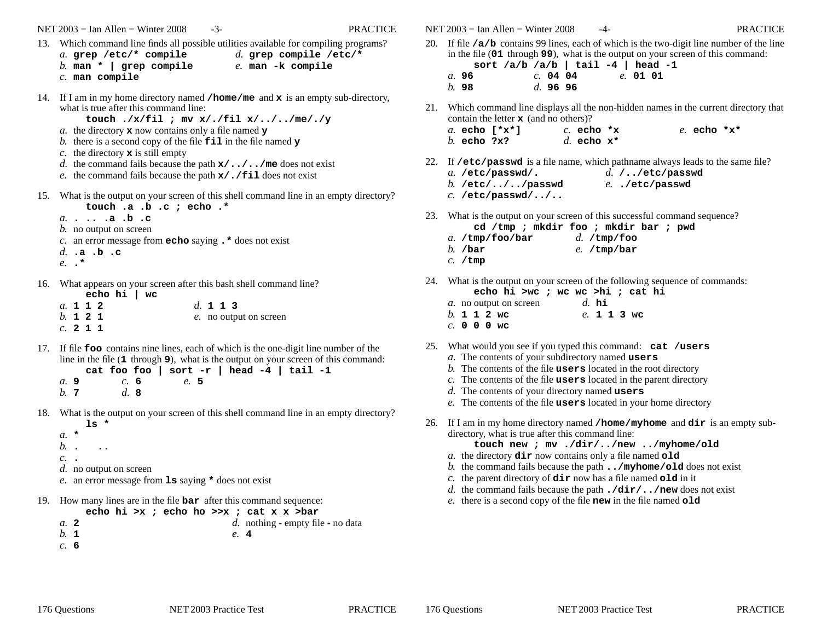NET 2003 <sup>−</sup> Ian Allen − Winter 2008 -3- PRACTICE

- 13. Which command line finds all possible utilities available for compiling programs? *a.* **grep /etc/\* compile***d.* **grep compile /etc/\***
	- *b.* **man \* | grep compile***c.* **man compile***e.* **man -k compile**
- 14. If <sup>I</sup> am in my home directory named **/home/me** and **<sup>x</sup>** is an empty sub-directory, what is true after this command line:
	- **touch ./x/fil ; mv x/./fil x/../../me/./y**
	- *a.* the directory **<sup>x</sup>** now contains only a file named **<sup>y</sup>**
	- *b.* there is a second copy of the file **fil** in the file named **<sup>y</sup>**
	- *c.* the directory **<sup>x</sup>** is still empty
	- *d.* the command fails because the path **x/../../me** does not exist
	- *e.* the command fails because the path **x/./fil** does not exist
- 15. What is the output on your screen of this shell command line in an empty directory?**touch .a .b .c ; echo .\***
	- *a.* **. .. .a .b .c**
	- *b.* no output on screen
	- *c.* an error message from **echo** saying **.\*** does not exist
	- *d.* **.a .b .c**
	- *e.* **.\***
- 16. What appears on your screen after this bash shell command line?

|  |          | echo hi $ $ wc |                        |
|--|----------|----------------|------------------------|
|  | a. 1 1 2 |                | d. 1 1 3               |
|  | b. 1 2 1 |                | e. no output on screen |
|  | $c.$ 211 |                |                        |

17. If file **foo** contains nine lines, each of which is the one-digit line number of the line in the file (**1** through **<sup>9</sup>**), what is the output on your screen of this command:

**cat foo foo | sort -r | head -4 | tail -1***a.* **9** *b.* **<sup>7</sup>***c.* **6** *d.* **8***e.* **5**

- 18. What is the output on your screen of this shell command line in an empty directory?**ls \***
	- *a.* **\***
	- *b.***. ..**
	- *c.* **.**
	- *d.* no output on screen
	- *e.* an error message from **ls** saying **\*** does not exist
- 19. How many lines are in the file **bar** after this command sequence:

**echo hi >x ; echo ho >>x ; cat x x >bar** *d.* nothing - empty file - no data*a.* **<sup>2</sup>** *b.* **<sup>1</sup>***e.* **<sup>4</sup>**

*c.* **6**

NET 2003 <sup>−</sup> Ian Allen − Winter 2008 -4- PRACTICE

- 20. If file **/a/b** contains 99 lines, each of which is the two-digit line number of the line in the file (**01** through **<sup>99</sup>**), what is the output on your screen of this command: **sort /a/b /a/b | tail -4 | head -1**
	- *a.* **96** *b.* **98***c.* **04 04** *d.* **96 96***e.* **01 01**
- 21. Which command line displays all the non-hidden names in the current directory that contain the letter **<sup>x</sup>** (and no others)?
	- *a.* **echo [\*x\*]***b.* **echo ?x?***c.* **echo \*x***d.* **echo x\***
- *e.* **echo \*x\***
- 22. If **/etc/passwd** is a file name, which pathname always leads to the same file?

| $a.$ /etc/passwd/.       | $d.$ //etc/passwd |  |
|--------------------------|-------------------|--|
| b. $/etc/$ $/$ $/passwd$ | e/etc/passwd      |  |
| $c.$ /etc/passwd//       |                   |  |

- 23. What is the output on your screen of this successful command sequence?**cd /tmp ; mkdir foo ; mkdir bar ; pwd**
	- *a.* **/tmp/foo/bar***d.* **/tmp/foo**
	- *b.* **/bar***e.* **/tmp/bar**
	- *c.* **/tmp**
- 24. What is the output on your screen of the following sequence of commands: **echo hi >wc ; wc wc >hi ; cat hi**
	- *a.* no output on screen*b.* **112wc** *c.* **000wc***d.* **hi***e.* **113wc**
- 25. What would you see if you typed this command: **cat /users**
	- *a.* The contents of your subdirectory named **users**
	- *b.* The contents of the file **users** located in the root directory
	- *c.* The contents of the file **users** located in the parent directory
	- *d.* The contents of your directory named **users**
	- *e.* The contents of the file **users** located in your home directory
- $26.$  <sup>I</sup> am in my home directory named **/home/myhome** and **dir** is an empty subdirectory, what is true after this command line:
	- **touch new ; mv ./dir/../new ../myhome/old**
	- *a.* the directory **dir** now contains only a file named **old**
	- *b.* the command fails because the path **../myhome/old** does not exist
	- *c.* the parent directory of **dir** now has a file named **old** in it
	- *d.* the command fails because the path **./dir/../new** does not exist
	- *e.* there is a second copy of the file **new** in the file named **old**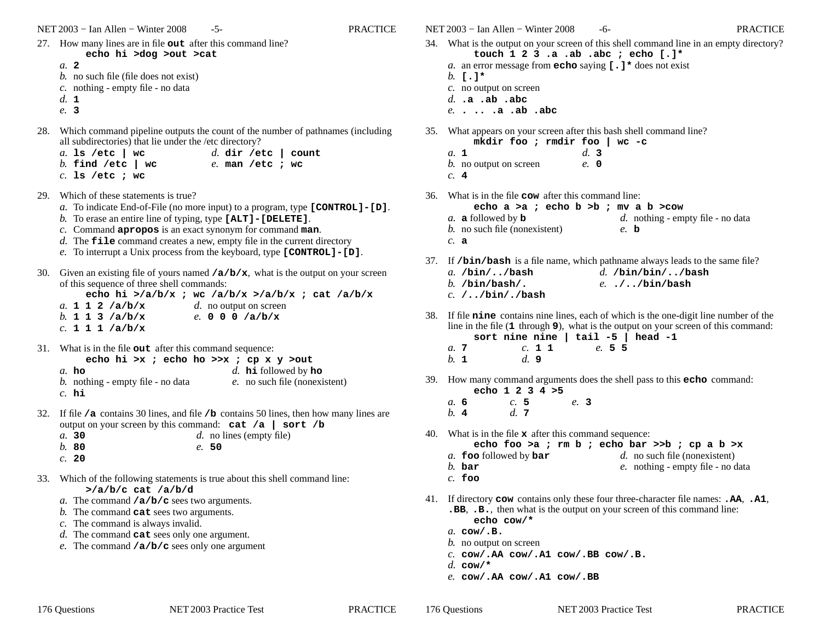NET 2003 – Ian Allen – Winter 2008 – 5- PRACTICE

- 27. How many lines are in file **out** after this command line? **echo hi >dog >out >cat**
	- *a.* **<sup>2</sup>**
	- *b.* no such file (file does not exist)
	- *c.* nothing empty file no data
	- *d.* **<sup>1</sup>**
	- *e.* **3**
- 28. Which command pipeline outputs the count of the number of pathnames (including all subdirectories) that lie under the /etc directory?
	- *d.* **dir /etc | count***a.* **ls /etc | wc** *b.* **find /etc | wc***c.* **ls /etc ; wc***e.* **man /etc ; wc**
- 29. Which of these statements is true?
	- *a.* To indicate End-of-File (no more input) to a program, type **[CONTROL]-[D]**.
	- *b.* To erase an entire line of typing, type **[ALT]-[DELETE]**.
	- *c.* Command **apropos** is an exact synonym for command **man**.
	- *d.* The **file** command creates a new, empty file in the current directory
	- *e.* To interrupt a Unix process from the keyboard, type **[CONTROL]-[D]**.
- 30. Given an existing file of yours named **/a/b/x**, what is the output on your screen of this sequence of three shell commands:
	- **echo hi >/a/b/x ; wc /a/b/x >/a/b/x ; cat /a/b/x***a.* **112/a/b/x***d.* no output on screen
	- *b.* **113/a/b/x***e.* **000/a/b/x**
	- *c.* **111/a/b/x**
- 31. What is in the file **out** after this command sequence:

| echo hi >x; echo ho >>x; cp x y >out     |                                              |
|------------------------------------------|----------------------------------------------|
| a.ho                                     | d. $\mathbf{h}$ is followed by $\mathbf{ho}$ |
| <i>b.</i> nothing - empty file - no data | e. no such file (nonexistent)                |
| $c.$ hi                                  |                                              |

- 32. If file **/a** contains 30 lines, and file **/b** contains 50 lines, then how many lines are output on your screen by this command: **cat /a | sort /b***a.* **30***d.* no lines (empty file)
	- *b.* **80***e.* **50**
	- *c.* **20**
- 33. Which of the following statements is true about this shell command line: **>/a/b/c cat /a/b/d**
	- *a.* The command **/a/b/c** sees two arguments.
	- *b.* The command **cat** sees two arguments.
	- *c.* The command is always invalid.
	- *d.* The command **cat** sees only one argument.
	- *e.* The command **/a/b/c** sees only one argument
- NET 2003 Ian Allen Winter 2008 6- PRACTICE 34. What is the output on your screen of this shell command line in an empty directory?**touch 1 2 3 .a .ab .abc ; echo [.]\*** *a.* an error message from **echo** saying **[.]\*** does not exist *b.* **[.]\*** *c.* no output on screen*d.* **.a .ab .abc** *e.* **. .. .a .ab .abc** 35. What appears on your screen after this bash shell command line?**mkdir foo ; rmdir foo | wc -c***a.* **<sup>1</sup>** *b.* no output on screen*c.* **<sup>4</sup>***d.* **3** *e.* **0**36. What is in the file **cow** after this command line: **echo a >a ; echo b >b ; mv a b >cow** *d.* nothing - empty file - no data*a.* **<sup>a</sup>** followed by **<sup>b</sup>** *b.* no such file (nonexistent)*c.* **<sup>a</sup>***e.* **b**37. If **/bin/bash** is a file name, which pathname always leads to the same file? *a.* **/bin/../bash** *b.* **/bin/bash/.** *c.* **/../bin/./bash***d.* **/bin/bin/../bash***e.* **./../bin/bash**
- 38. If file **nine** contains nine lines, each of which is the one-digit line number of the line in the file (**1** through **<sup>9</sup>**), what is the output on your screen of this command: **sort nine nine | tail -5 | head -1**
	- *a.* **<sup>7</sup>** *b.* **<sup>1</sup>***c.* **<sup>1</sup> <sup>1</sup>** *d.* **9***e.* **<sup>5</sup> <sup>5</sup>**
- 39. How many command arguments does the shell pass to this **echo** command: **echo 1 2 3 4 >5**
	- *a.* **6** *b.* **<sup>4</sup>***c.* **5** *d.* **<sup>7</sup>***e.* **3**
- 40. What is in the file **<sup>x</sup>** after this command sequence:
	- **echo foo >a ; rm b ; echo bar >>b ; cp a b >x**
	- *a.* **foo** followed by **bar** *d.* no such file (nonexistent)
	- *b.* **bar***e.* nothing - empty file - no data
	- *c.* **foo**
- 41. If directory **cow** contains only these four three-character file names: **.AA**, **.A1**, **.BB**, **.B.**, then what is the output on your screen of this command line:**echo cow/\***
	- *a.* **cow/.B.**
	- *b.* no output on screen
	- *c.* **cow/.AA cow/.A1 cow/.BB cow/.B.**
	- *d.* **cow/\***

176 Questions

*e.* **cow/.AA cow/.A1 cow/.BB**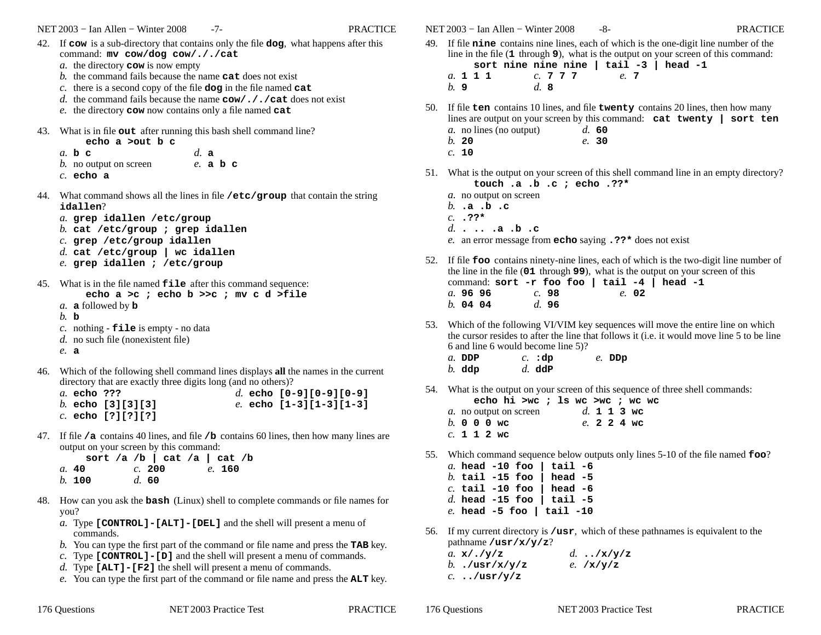- 42. If **cow** is a sub-directory that contains only the file **dog**, what happens after this command: **mv cow/dog cow/././cat**
	- *a.* the directory **cow** is now empty
	- *b.* the command fails because the name **cat** does not exist
	- *c.* there is a second copy of the file **dog** in the file named **cat**
	- *d.* the command fails because the name **cow/././cat** does not exist
	- *e.* the directory **cow** now contains only a file named **cat**
- 43. What is in file **out** after running this bash shell command line?

**echo a >out b c***a.* **<sup>b</sup> <sup>c</sup>** *b.* no output on screen*d.***a***e.* **abc**

- *c.* **echo a**
- 44. What command shows all the lines in file **/etc/group** that contain the string **idallen**?
	- *a.* **grep idallen /etc/group**
	- *b.* **cat /etc/group ; grep idallen**
	- *c.* **grep /etc/group idallen**
	- *d.* **cat /etc/group | wc idallen**
	- *e.* **grep idallen ; /etc/group**
- 45. What is in the file named **file** after this command sequence:
	- **echo a >c ; echo b >>c ; mv c d >file**
	- *a.***a** followed by **b**
	- *b.***b**
	- *c.* nothing **file** is empty no data
	- *d.* no such file (nonexistent file)
	- *e.***a**
- 46. Which of the following shell command lines displays **all** the names in the current directory that are exactly three digits long (and no others)?
	- *d.* **echo [0-9][0-9][0-9]***a.* **echo ???** *b.* **echo [3][3][3]** *c.* **echo [?][?][?]***e.* **echo [1-3][1-3][1-3]**
- 47. If file **/a** contains 40 lines, and file **/b** contains 60 lines, then how many lines are output on your screen by this command:

|        |  | sort /a /b   cat /a   cat /b |  |        |  |
|--------|--|------------------------------|--|--------|--|
| a. 40  |  | c. 200                       |  | e. 160 |  |
| b. 100 |  | d.60                         |  |        |  |

- 48. How can you ask the **bash** (Linux) shell to complete commands or file names for you?
	- *a.* Type **[CONTROL]-[ALT]-[DEL]** and the shell will present a menu of commands.
	- *b.* You can type the first part of the command or file name and press the **TAB** key.
	- *c.* Type **[CONTROL]-[D]** and the shell will present a menu of commands.
	- *d.* Type **[ALT]-[F2]** the shell will present a menu of commands.
	- *e.* You can type the first part of the command or file name and press the **ALT** key.

NET 2003 – Ian Allen – Winter 2008 – 8- PRACTICE

- 49. If file **nine** contains nine lines, each of which is the one-digit line number of the line in the file (**1** through **<sup>9</sup>**), what is the output on your screen of this command: **sort nine nine nine | tail -3 | head -1**
	- *a.* **<sup>111</sup>***c.* **<sup>777</sup>***d.* **8***e.* **<sup>7</sup>**
	- *b.* **9**
- 50. If file **ten** contains 10 lines, and file **twenty** contains 20 lines, then how many lines are output on your screen by this command: **cat twenty | sort ten***a.* no lines (no output)*d.* **60**

*e.* **30**

- *b.* **20**
- *c.* **10**
- 51. What is the output on your screen of this shell command line in an empty directory?**touch .a .b .c ; echo .??\***
	- *a.* no output on screen
	- *b.* **.a .b .c**
	- *c.* **.??\***
	- *d.* **. .. .a .b . c**
	- *e.* an error message from **echo** saying **.??\*** does not exist
- 52. If file **foo** contains ninety-nine lines, each of which is the two-digit line number of the line in the file (**01** through **<sup>99</sup>**), what is the output on your screen of this command: **sort -r foo foo | tail -4 | head -1***a.* **96 96** *b.* **04 04***c.* **98** *d.* **96***e.* **02**
- 53. Which of the following VI/VIM key sequences will move the entire line on which the cursor resides to after the line that follows it (i.e. it would move line 5 to be line6 and line 6 would become line 5)?
	- *a.* **DDP** *b.* **ddp***c.* **:dp** *d.* **ddP***e.* **DDp**
- 54. What is the output on your screen of this sequence of three shell commands:

|  |  |               | echo hi >wc ; ls wc >wc ; wc wc |  |  |  |             |  |
|--|--|---------------|---------------------------------|--|--|--|-------------|--|
|  |  |               | a. no output on screen          |  |  |  | d. 1 1 3 wc |  |
|  |  | $b. 0 0 0$ wc |                                 |  |  |  | $e. 224$ we |  |
|  |  | $c. 1 1 2$ wc |                                 |  |  |  |             |  |

55. Which command sequence below outputs only lines 5-10 of the file named **foo**?

| a. head $-10$ foo   tail $-6$ |  |
|-------------------------------|--|
| b. tail -15 foo   head -5     |  |
| $c.$ tail -10 foo   head -6   |  |
| d. head $-15$ foo   tail $-5$ |  |
| $e.$ head -5 foo   tail -10   |  |

56. If my current directory is **/usr**, which of these pathnames is equivalent to thepathname **/usr/x/y/z**?

| a. $x / . / y / z$ | d $\mathbf{x}/\mathbf{y}/\mathbf{z}$ |
|--------------------|--------------------------------------|
| b $/usr/x/y/z$     | e. $/x/y/z$                          |
| c/usr/y/z          |                                      |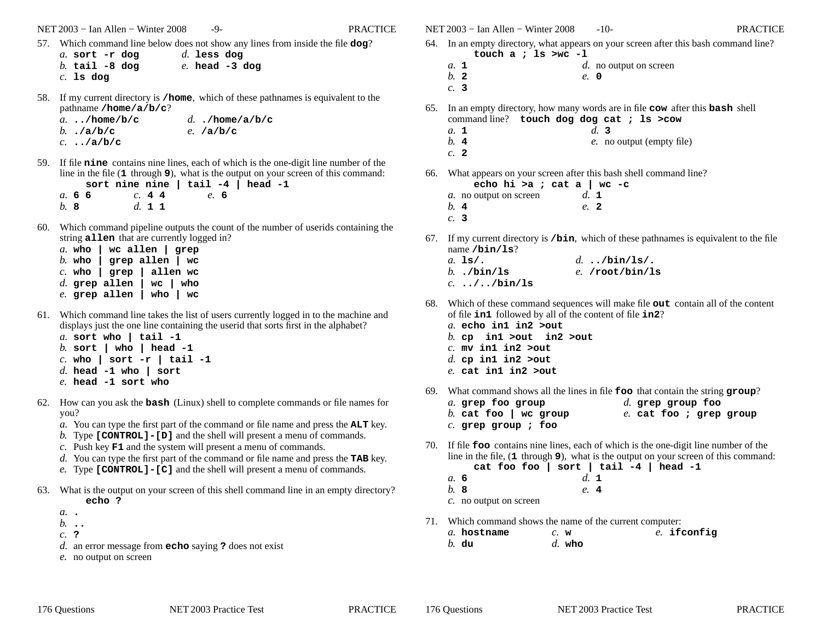NET 2003 <sup>−</sup> Ian Allen − Winter 2008 -9- PRACTICE

57. Which command line below does not show any lines from inside the file **dog**?

```
a. sort -r dog
b. tail -8 dogc. ls dogd. less dog
e. head -3 dog
```
58. If my current directory is **/home**, which of these pathnames is equivalent to thepathname **/home/a/b/c**?

| a/home/b/c                   | d/home/a/b/c |
|------------------------------|--------------|
| b. $\mathbf{a}/\mathbf{b}/c$ | e. $/a/b/c$  |
| $c. \ldots/a/b/c$            |              |

59. If file **nine** contains nine lines, each of which is the one-digit line number of the line in the file (1 through 9), what is the output on your screen of this command:<br>**sort nine nine** | tail -4 | head -1

|        |  |        |  | sort nine nine $ $ tail $-4$ $ $ head |  |  |
|--------|--|--------|--|---------------------------------------|--|--|
| a. 6 6 |  | c. 44  |  | e.6                                   |  |  |
| b.8    |  | d. 1 1 |  |                                       |  |  |

- 60. Which command pipeline outputs the count of the number of userids containing the string **allen** that are currently logged in?
	- *a.* **who | wc allen | grep** *b.* **who | grep allen | wc**allen wc *c.* **who | grep | allen wc** $wc$  | who *d.* **grep allen | wc | who***e.* **grep allen | who | wc**
- 61. Which command line takes the list of users currently logged in to the machine and displays just the one line containing the userid that sorts first in the alphabet?*a.* **sort who | tail -1**
	- *b.* **sort | who | head -1***c.* **who | sort -r | tail -1**
	- *d.* **head -1 who | sort**
	- *e.* **head -1 sort who**
- 62. How can you ask the **bash** (Linux) shell to complete commands or file names for you?
	- *a.* You can type the first part of the command or file name and press the **ALT** key.
	- *b.* Type **[CONTROL]-[D]** and the shell will present a menu of commands.
	- *c.* Push key **F1** and the system will present a menu of commands.
	- *d.* You can type the first part of the command or file name and press the **TAB** key.
	- *e.* Type **[CONTROL]-[C]** and the shell will present a menu of commands.
- 63. What is the output on your screen of this shell command line in an empty directory?**echo ?**
	- *a.* **.**
	- *b.* **..**
	- *c.* **?**
	- *d.* an error message from **echo** saying **?** does not exist
	- *e.* no output on screen

NET 2003 <sup>−</sup> Ian Allen − Winter 2008 -10- PRACTICE

- 64. In an empty directory, what appears on your screen after this bash command line? **touch a ; ls >wc -l**
	- *d.* no output on screen*a.* **<sup>1</sup>** *b.* **<sup>2</sup>***e.* **0**
	- *c.* **3**
- 65. In an empty directory, how many words are in file **cow** after this **bash** shell command line? **touch dog dog cat ; ls >cow**

$$
a. \ 1 \qquad \qquad d. \ 3
$$

 *b.* **<sup>4</sup>***e.* no output (empty file)

$$
c. 2
$$

66. What appears on your screen after this bash shell command line?

**echo hi >a ; cat a | wc -c***a.* no output on screen*b.* **<sup>4</sup>** *c.* **3***d.* **<sup>1</sup>***e.* **<sup>2</sup>**

- 67. If my current directory is **/bin**, which of these pathnames is equivalent to the filename **/bin/ls**?
	- *a.* **ls/.** *b.* **./bin/ls** *c.* **../../bin/ls***d.* **../bin/ls/.***e.* **/root/bin/ls**
- 68. Which of these command sequences will make file **out** contain all of the content of file **in1** followed by all of the content of file **in2**?
	- *a.* **echo in1 in2 >out**
	- *b.* **cp in1 >out in2 >out**
	- *c.* **mv in1 in2 >out**
	- *d.* **cp in1 in2 >out**
	- *e.* **cat in1 in2 >out**
- 69. What command shows all the lines in file **foo** that contain the string **group**?

| a. grep foo group     | d. grep group foo       |
|-----------------------|-------------------------|
| b. cat foo   wc group | e. cat foo ; grep group |
| $c.$ grep group ; foo |                         |

70. If file **foo** contains nine lines, each of which is the one-digit line number of the line in the file, (**1** through **<sup>9</sup>**), what is the output on your screen of this command: **cat foo foo | sort | tail -4 | head -1**

|              | cat foo foo   sort   tail |               |
|--------------|---------------------------|---------------|
| a. 6         |                           | $d_{\cdot}$ 1 |
| <i>b</i> . 8 |                           | e. 4          |
|              | c. no output on screen    |               |

71. Which command shows the name of the current computer:

| a. hostname | $c$ . w |          | $e.$ ifconfig |
|-------------|---------|----------|---------------|
| $b.$ du     |         | $d.$ who |               |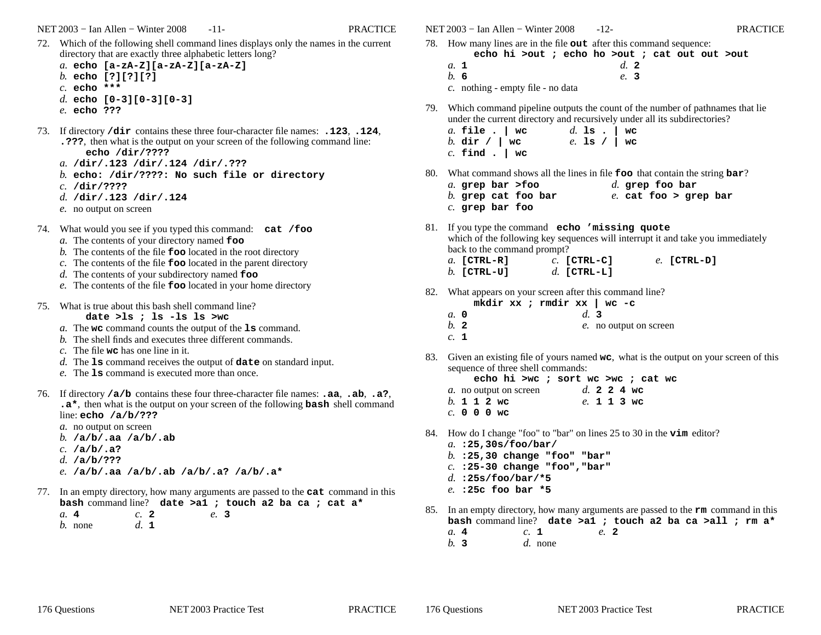NET 2003 <sup>−</sup> Ian Allen − Winter 2008 -11- PRACTICE

- 72. Which of the following shell command lines displays only the names in the current directory that are exactly three alphabetic letters long?
	- *a.* **echo [a-zA-Z][a-zA-Z][a-zA-Z]***b.* **echo [?][?][?]***c.* **echo \*\*\****d.* **echo [0-3][0-3][0-3]**
	-
	- *e.* **echo ???**
- 73. If directory **/dir** contains these three four-character file names: **.123**, **.124**, **.???**, then what is the output on your screen of the following command line:**echo /dir/????**
	- *a.* **/dir/.123 /dir/.124 /dir/.???**
	- *b.* **echo: /dir/????: No such file or directory**
	- *c.* **/dir/????**
	- *d.* **/dir/.123 /dir/.124**
	- *e.* no output on screen
- 74. What would you see if you typed this command: **cat /foo**
	- *a.* The contents of your directory named **foo**
	- *b.* The contents of the file **foo** located in the root directory
	- *c.* The contents of the file **foo** located in the parent directory
	- *d.* The contents of your subdirectory named **foo**
	- *e.* The contents of the file **foo** located in your home directory
- 75. What is true about this bash shell command line?
	- **date >ls ; ls -ls ls >wc**
	- *a.* The **wc** command counts the output of the **ls** command.
	- *b.* The shell finds and executes three different commands.
	- *c.* The file **wc** has one line in it.
	- *d.* The **ls** command receives the output of **date** on standard input.
	- *e.* The **ls** command is executed more than once.
- 76. If directory **/a/b** contains these four three-character file names: **.aa**, **.ab**, **.a?**, **.a\***, then what is the output on your screen of the following **bash** shell command line: **echo /a/b/???**
	- *a.* no output on screen
	- *b.* **/a/b/.aa /a/b/.ab**
	- *c.* **/a/b/.a?**
	- *d.* **/a/b/???**
	- *e.* **/a/b/.aa /a/b/.ab /a/b/.a? /a/b/.a\***
- 77. In an empty directory, how many arguments are passed to the **cat** command in this **bash** command line? **date >a1 ; touch a2 ba ca ; cat a\***
	- *a.* **<sup>4</sup>** *b.* none*c.* **<sup>2</sup>** *d.* **<sup>1</sup>***e.* **3**

NET 2003 <sup>−</sup> Ian Allen − Winter 2008 -12- PRACTICE

- 78. How many lines are in the file **out** after this command sequence: **echo hi >out ; echo ho >out ; cat out out >out**
	- *a.* **<sup>1</sup>** *b.* **6** *c.* nothing - empty file - no data*d.* **<sup>2</sup>***e.* **3**
- 79. Which command pipeline outputs the count of the number of pathnames that lie under the current directory and recursively under all its subdirectories?
	- *a.* **file . | wc** *b.* **dir / | wc** *c.* **find . | wc***d.* **ls . | wc***e.* **ls / | wc**
- 80. What command shows all the lines in file **foo** that contain the string **bar**?
	- *a.* **grep bar >foo** *b.* **grep cat foo bar***c.* **grep bar foo***d.* **grep foo bar***e.* **cat foo > grep bar**
- 81. If you type the command **echo 'missing quote** which of the following key sequences will interrupt it and take you immediatelyback to the command prompt?*e.* **[CTRL-D]**
	- *c.* **[CTRL-C]***a.* **[CTRL-R]** *b.* **[CTRL-U]***d.* **[CTRL-L]**
- 82. What appears on your screen after this command line?
	- **mkdir xx ; rmdir xx | wc -c***a.* **0** *b.* **<sup>2</sup>** *c.* **<sup>1</sup>***d.* **3***e.* no output on screen
- 83. Given an existing file of yours named **wc**, what is the output on your screen of this sequence of three shell commands:
	- **echo hi >wc ; sort wc >wc ; cat wc***d.* **224wc**
	- *a.* no output on screen*b.* **112wc** *c.* **000wc***e.* **113wc**
- 84. How do I change "foo" to "bar" on lines 25 to 30 in the **vim** editor?
	- *a.* **:25,30s/foo/bar/**
	- *b.* **:25,30 change "foo" "bar"**
	- *c.* **:25-30 change "foo","bar"**
	- *d.* **:25s/foo/bar/\*5**
	- *e.* **:25c foo bar \*5**
- 85. In an empty directory, how many arguments are passed to the **rm** command in this **bash** command line? **date >a1 ; touch a2 ba ca >all ; rm a\***

*e.* **<sup>2</sup>**

*a.* **<sup>4</sup>** *b.* **3***c.* **<sup>1</sup>***d.* none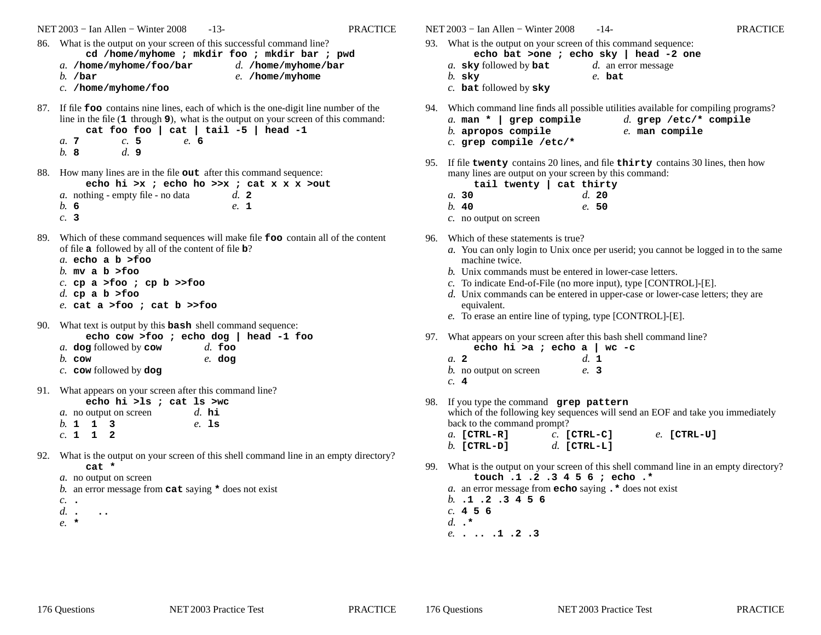NET 2003 <sup>−</sup> Ian Allen − Winter 2008 -13- PRACTICE86. What is the output on your screen of this successful command line? **cd /home/myhome ; mkdir foo ; mkdir bar ; pwd***a.* **/home/myhome/foo/bar***b.* **/bar** *c.* **/home/myhome/foo***d.* **/home/myhome/bar***e.* **/home/myhome**87. If file **foo** contains nine lines, each of which is the one-digit line number of the line in the file (**1** through **<sup>9</sup>**), what is the output on your screen of this command: **cat foo foo | cat | tail -5 | head -1***a.* **<sup>7</sup>** *b.* **8***c.* **5** *d.* **9***e.* **6**88. How many lines are in the file **out** after this command sequence: **echo hi >x ; echo ho >>x ; cat x x x >out***a.* nothing - empty file - no data*b.* **6** *c.* **3***d.* **<sup>2</sup>** *e.* **<sup>1</sup>**89. Which of these command sequences will make file **foo** contain all of the content of file **<sup>a</sup>** followed by all of the content of file **<sup>b</sup>**? *a.* **echo a b >foo***b.* **mv a b >foo** *c.* **cp a >foo ; cp b >>foo***d.* **cp a b >foo** *e.* **cat a >foo ; cat b >>foo**90. What text is output by this **bash** shell command sequence: **echo cow >foo ; echo dog | head -1 foo***a.* **dog** followed by **cow** *b.* **cow** *c.* **cow** followed by **dog** *d.* **foo** *e.* **dog**91. What appears on your screen after this command line?**echo hi >ls ; cat ls >wc***a.* no output on screen*b.* **113** *c.* **<sup>112</sup>***d.* **hi** *e.* **ls**92. What is the output on your screen of this shell command line in an empty directory?**cat \*** *a.* no output on screen *b.* an error message from **cat** saying **\*** does not exist *c.* **.**

- *d.***. ..**
- *e.* **\***

**echo bat >one ; echo sky | head -2 one***a.* **sky** followed by **bat** *b.* **sky** *c.* **bat** followed by **sky** *d.* an error message*e.* **bat**94. Which command line finds all possible utilities available for compiling programs? *a.* **man \* | grep compile***b.* **apropos compile** *c.* **grep compile /etc/\****d.* **grep /etc/\* compile***e.* **man compile**95. If file **twenty** contains 20 lines, and file **thirty** contains 30 lines, then howmany lines are output on your screen by this command:**tail twenty | cat thirty***a.* **30** *b.* **40** *c.* no output on screen*d.* **20** *e.* **50**96. Which of these statements is true? *a.* You can only login to Unix once per userid; you cannot be logged in to the samemachine twice. *b.* Unix commands must be entered in lower-case letters. *c.* To indicate End-of-File (no more input), type [CONTROL]-[E]. *d.* Unix commands can be entered in upper-case or lower-case letters; they areequivalent. *e.* To erase an entire line of typing, type [CONTROL]-[E]. 97. What appears on your screen after this bash shell command line?**echo hi >a ; echo a | wc -c***a.* **<sup>2</sup>** *b.* no output on screen*c.* **<sup>4</sup>***d.* **<sup>1</sup>** *e.* **3**98. If you type the command **grep pattern** which of the following key sequences will send an EOF and take you immediatelyback to the command prompt? *c.* **[CTRL-C]***a.* **[CTRL-R]** *b.* **[CTRL-D]** *d.* **[CTRL-L]***e.* **[CTRL-U]**99. What is the output on your screen of this shell command line in an empty directory?**touch .1 .2 .3 4 5 6 ; echo .\*** *a.* an error message from **echo** saying **.\*** does not exist *b.* **.1 .2 .3 4 5 6***c.* **456***d.* **.\****e.* **. .. .1 .2 .3**

NET 2003 <sup>−</sup> Ian Allen − Winter 2008 -14- PRACTICE

93. What is the output on your screen of this command sequence:

176 Questions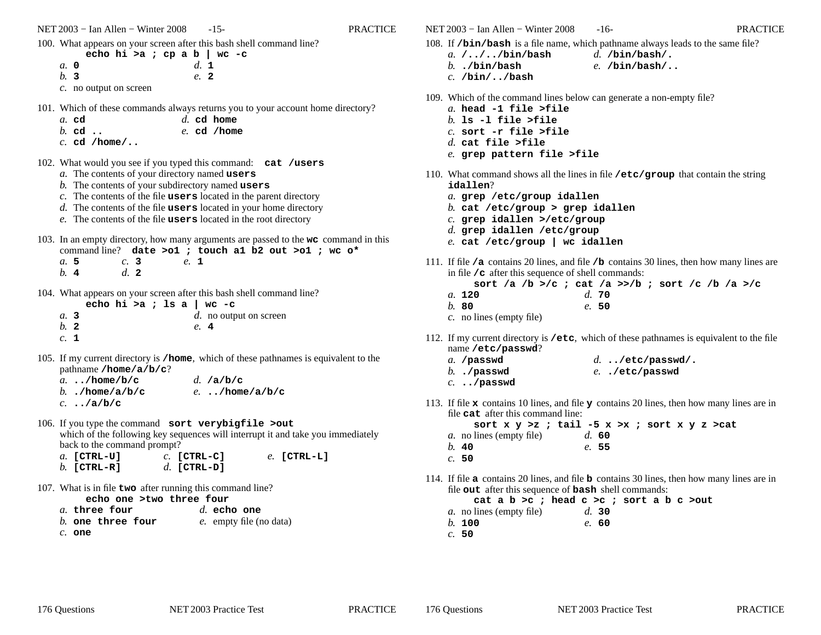NET 2003 <sup>−</sup> Ian Allen − Winter 2008 -15- PRACTICE

100. What appears on your screen after this bash shell command line?

**echo hi >a ; cp a b | wc -c***a.* **0** *b.* **3** *c.* no output on screen*d.* **<sup>1</sup>***e.* **<sup>2</sup>**

- 101. Which of these commands always returns you to your account home directory?
	- *a.* **cd***d.* **cd home**
	- *b.* **cd ..***e.* **cd /home**
	- *c.* **cd /home/..**
- 102. What would you see if you typed this command: **cat /users**
	- *a.* The contents of your directory named **users**
	- *b.* The contents of your subdirectory named **users**
	- *c.* The contents of the file **users** located in the parent directory
	- *d.* The contents of the file **users** located in your home directory

*e.* **<sup>1</sup>**

- *e.* The contents of the file **users** located in the root directory
- 103. In an empty directory, how many arguments are passed to the **wc** command in this command line? **date >o1 ; touch a1 b2 out >o1 ; wc o\***
	- *a.* **5** *b.* **<sup>4</sup>***c.* **3***d.* **<sup>2</sup>**
- 104. What appears on your screen after this bash shell command line?

|                | echo hi >a ; 1s a   wc -c |  |  |  |      |                        |  |
|----------------|---------------------------|--|--|--|------|------------------------|--|
| a. 3           |                           |  |  |  |      | d. no output on screen |  |
| b <sub>2</sub> |                           |  |  |  | e. 4 |                        |  |
| $c. \perp$     |                           |  |  |  |      |                        |  |

105. If my current directory is **/home**, which of these pathnames is equivalent to thepathname **/home/a/b/c**?

| a/home/b/c        | $d.$ /a/b/c  |
|-------------------|--------------|
| b $/home/a/b/c$   | e/home/a/b/c |
| $c. \ldots/a/b/c$ |              |

- 106. If you type the command **sort verybigfile >out** which of the following key sequences will interrupt it and take you immediatelyback to the command prompt?
	- *c.* **[CTRL-C]***a.* **[CTRL-U]** *b.* **[CTRL-R]** *d.* **[CTRL-D]***e.* **[CTRL-L]**
- 107. What is in file **two** after running this command line?
	- **echo one >two three four**
	- *d.* **echo one***a.* **three four** *b.* **one three four***e.* empty file (no data)
	- *c.* **one**

NET 2003 <sup>−</sup> Ian Allen − Winter 2008 -16- PRACTICE

- 108. If **/bin/bash** is a file name, which pathname always leads to the same file?
	- *a.* **/../../bin/bash***d.* **/bin/bash/.**
	- *b.* **./bin/bash***e.* **/bin/bash/..**
	- *c.* **/bin/../bash**
- 109. Which of the command lines below can generate a non-empty file?
	- *a.* **head -1 file >file**
	- *b.* **ls -l file >file**
	- *c.* **sort -r file >file**
	- *d.* **cat file >file**
	- *e.* **grep pattern file >file**
- 110. What command shows all the lines in file **/etc/group** that contain the string **idallen**?
	- *a.* **grep /etc/group idallen**
	- *b.* **cat /etc/group > grep idallen**
	- *c.* **grep idallen >/etc/group**
	- *d.* **grep idallen /etc/group**
	- *e.* **cat /etc/group | wc idallen**
- 111. If file **/a** contains 20 lines, and file **/b** contains 30 lines, then how many lines are in file **/c** after this sequence of shell commands:
	- **sort /a /b >/c ; cat /a >>/b ; sort /c /b /a >/c***a.* **120***d.* **70**
	- *b.* **80***e.* **50**
	- *c.* no lines (empty file)
- 112. If my current directory is **/etc**, which of these pathnames is equivalent to the filename **/etc/passwd**?

| a. /passwd     | $d.$ /etc/passwd/. |
|----------------|--------------------|
| $b.$ . /passwd | e/etc/passwd       |
| $c.$ /passwd   |                    |

113. If file **<sup>x</sup>** contains 10 lines, and file **<sup>y</sup>** contains 20 lines, then how many lines are in file **cat** after this command line:

**sort x y >z ; tail -5 x >x ; sort x y z >cat***a.* no lines (empty file)*b.* **40***d.* **60***e.* **55**

- *c.* **50**
- 114. If file **<sup>a</sup>** contains 20 lines, and file **<sup>b</sup>** contains 30 lines, then how many lines are in file **out** after this sequence of **bash** shell commands:

**cat a b >c ; head c >c ; sort a b c >out**

- *a.* no lines (empty file)*d.* **30***e.* **60**
- *b.* **100***c.* **50**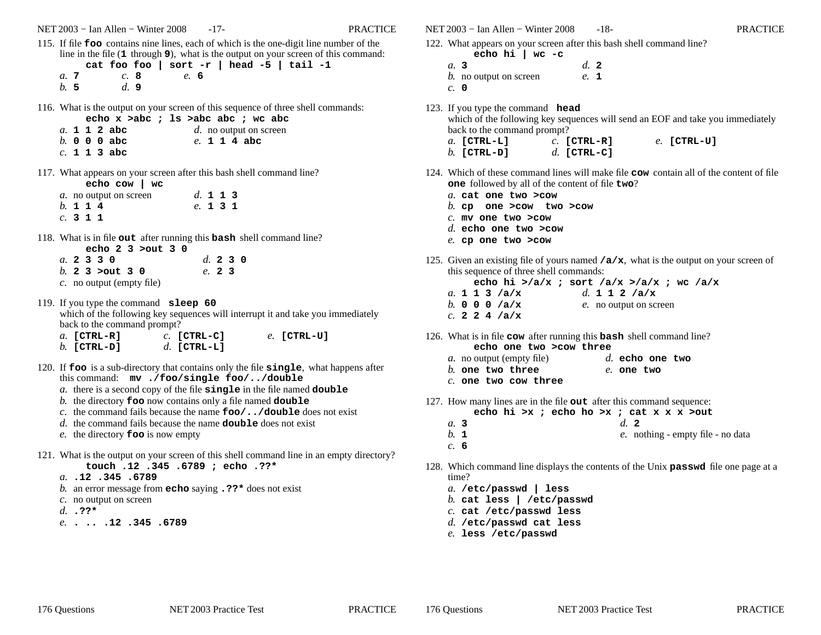NET 2003 <sup>−</sup> Ian Allen − Winter 2008 -17- PRACTICE

- 115. If file **foo** contains nine lines, each of which is the one-digit line number of the line in the file (**1** through **<sup>9</sup>**), what is the output on your screen of this command: **cat foo foo | sort -r | head -5 | tail -1**
	- *a.* **<sup>7</sup>** *b.* **5***c.* **8** *d.* **9***e.* **6**
- 116. What is the output on your screen of this sequence of three shell commands:

|  |  | echo $x > abc$ ; $ls > abc$ abc ; wc abc |  |  |              |  |                        |
|--|--|------------------------------------------|--|--|--------------|--|------------------------|
|  |  | a. 1 1 2 abc                             |  |  |              |  | d. no output on screen |
|  |  | $h$ , 0 0 0 abc                          |  |  | e. 1 1 4 abc |  |                        |
|  |  | c. 1 1 3 abc                             |  |  |              |  |                        |

117. What appears on your screen after this bash shell command line?**echo cow | wc***a.*

|          |  | <i>a</i> . no output on screen |          | d. 1 1 3 |  |
|----------|--|--------------------------------|----------|----------|--|
| b. 1 1 4 |  |                                | e. 1 3 1 |          |  |
| c. 311   |  |                                |          |          |  |

118. What is in file **out** after running this **bash** shell command line?

| echo $2 \times 3$ $>$ out $3 \times 0$ |          |
|----------------------------------------|----------|
| a. 2330                                | d. 2 3 0 |
| $h.$ 2 3 > out 3 0                     | e. 2 3   |
| c. no output (empty file)              |          |

- 119. If you type the command **sleep 60** which of the following key sequences will interrupt it and take you immediatelyback to the command prompt?
	- *c.* **[CTRL-C]***a.* **[CTRL-R]** *b.* **[CTRL-D]** *d.* **[CTRL-L]***e.* **[CTRL-U]**
- 120. If **foo** is a sub-directory that contains only the file **single**, what happens after this command: **mv ./foo/single foo/../double**
	- *a.* there is a second copy of the file **single** in the file named **double**
	- *b.* the directory **foo** now contains only a file named **double**
	- *c.* the command fails because the name **foo/../double** does not exist
	- *d.* the command fails because the name **double** does not exist
	- *e.* the directory **foo** is now empty
- 121. What is the output on your screen of this shell command line in an empty directory?**touch .12 .345 .6789 ; echo .??\***
	- *a.* **.12 .345 .6789**
	- *b.* an error message from **echo** saying **.??\*** does not exist
	- *c.* no output on screen
	- *d.* **.??\***
	- *e.* **. .. .12 .345 .6789**

NET 2003 <sup>−</sup> Ian Allen − Winter 2008 -18- PRACTICE

- 122. What appears on your screen after this bash shell command line?
	- **echo hi | wc -c***a.* **3** *b.* no output on screen*c.* **0***d.* **<sup>2</sup>***e.* **<sup>1</sup>**
- 123. If you type the command **head** which of the following key sequences will send an EOF and take you immediatelyback to the command prompt? *c.* **[CTRL-R]***a.* **[CTRL-L]** *b.* **[CTRL-D]** *d.* **[CTRL-C]***e.* **[CTRL-U]**
- 124. Which of these command lines will make file **cow** contain all of the content of file **one** followed by all of the content of file **two**?
	- *a.* **cat one two >cow**
	- *b.* **cp one >cow two >cow**
	- *c.* **mv one two >cow**
	- *d.* **echo one two >cow**
	- *e.* **cp one two >cow**
- 125. Given an existing file of yours named **/a/x**, what is the output on your screen of this sequence of three shell commands:
	- **echo hi >/a/x ; sort /a/x >/a/x ; wc /a/x***a.* **113/a/x** *b.* **000/a/x** *c.* **224/a/x***d.* **112/a/x***e.* no output on screen
- 126. What is in file **cow** after running this **bash** shell command line? **echo one two >cow three**

| cum vill cwo room uilled  |                   |
|---------------------------|-------------------|
| a. no output (empty file) | $d.$ echo one two |
| $b$ . one two three       | e. one two        |
| $c.$ one two cow three    |                   |

- 127. How many lines are in the file **out** after this command sequence:
	- **echo hi >x ; echo ho >x ; cat x x x >out**
	- *a.* **3** *b.* **<sup>1</sup>***d.* **<sup>2</sup>***e.* nothing - empty file - no data
	- *c.* **6**
- 128. Which command line displays the contents of the Unix **passwd** file one page at a time?
	- *a.* **/etc/passwd | less**
	- *b.* **cat less | /etc/passwd**
	- *c.* **cat /etc/passwd less**
	- *d.* **/etc/passwd cat less***e.* **less /etc/passwd**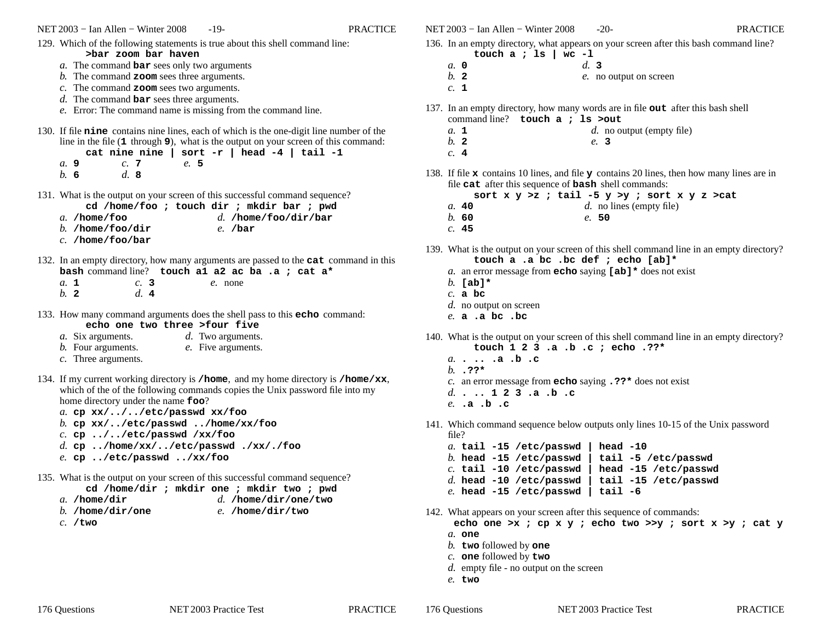NET 2003 <sup>−</sup> Ian Allen − Winter 2008 -19- PRACTICE129. Which of the following statements is true about this shell command line: **>bar zoom bar haven** *a.* The command **bar** sees only two arguments *b.* The command **zoom** sees three arguments. *c.* The command **zoom** sees two arguments. *d.* The command **bar** sees three arguments. *e.* Error: The command name is missing from the command line. 130. If file **nine** contains nine lines, each of which is the one-digit line number of the line in the file (**1** through **<sup>9</sup>**), what is the output on your screen of this command: **cat nine nine | sort -r | head -4 | tail -1***a.* **9** *b.* **6***c.* **<sup>7</sup>** *d.* **8***e.* **5**131. What is the output on your screen of this successful command sequence?**cd /home/foo ; touch dir ; mkdir bar ; pwd** *d.* **/home/foo/dir/bar***a.* **/home/foo** *b.* **/home/foo/dir** *c.* **/home/foo/bar***e.* **/bar**132. In an empty directory, how many arguments are passed to the **cat** command in this **bash** command line? **touch a1 a2 ac ba .a ; cat a\*** *a.* **<sup>1</sup>** *b.* **<sup>2</sup>***c.* **3** *d.* **<sup>4</sup>***e.* none133. How many command arguments does the shell pass to this **echo** command: **echo one two three >four five***d.* Two arguments. *a.* Six arguments. *b.* Four arguments. *c.* Three arguments. *e.* Five arguments. 134. If my current working directory is **/home**, and my home directory is **/home/xx**, which of the of the following commands copies the Unix password file into my home directory under the name **foo**? *a.* **cp xx/../../etc/passwd xx/foo** *b.* **cp xx/../etc/passwd ../home/xx/foo***c.* **cp ../../etc/passwd /xx/foo** *d.* **cp ../home/xx/../etc/passwd ./xx/./foo***e.* **cp ../etc/passwd ../xx/foo**135. What is the output on your screen of this successful command sequence?**cd /home/dir ; mkdir one ; mkdir two ; pwd** *d.* **/home/dir/one/two***a.* **/home/dir** *b.* **/home/dir/one***c.* **/two***e.* **/home/dir/two**

NET 2003 <sup>−</sup> Ian Allen − Winter 2008 -20- PRACTICE

136. In an empty directory, what appears on your screen after this bash command line?

- **touch a ; ls | wc -l**
- *d.* **3***a.* **0***b.* **<sup>2</sup>**
- *e.* no output on screen
- *c.* **<sup>1</sup>**
- 137. In an empty directory, how many words are in file **out** after this bash shell command line? **touch a ; ls >out**
	- *d.* no output (empty file)
	- *b.* **<sup>2</sup>**
	- *c.* **<sup>4</sup>**

*a.* **<sup>1</sup>**

138. If file **<sup>x</sup>** contains 10 lines, and file **<sup>y</sup>** contains 20 lines, then how many lines are in file **cat** after this sequence of **bash** shell commands:

*e.* **3**

**sort x y >z ; tail -5 y >y ; sort x y z >cat**

- *a.* **40***d.* no lines (empty file)
- *b.* **60***e.* **50**
- *c.* **45**
- 139. What is the output on your screen of this shell command line in an empty directory?**touch a .a bc .bc def ; echo [ab]\***
	- *a.* an error message from **echo** saying **[ab]\*** does not exist
	- *b.* **[ab]\***
	- *c.* **<sup>a</sup> bc**
	- *d.* no output on screen
	- *e.* **<sup>a</sup> .a bc .bc**
- 140. What is the output on your screen of this shell command line in an empty directory?**touch 1 2 3 .a .b .c ; echo .??\***
	- *a.* **. .. .a .b .c** *b.* **.??\****c.* an error message from **echo** saying **.??\*** does not exist
	- *d.* **. .. <sup>1</sup> <sup>2</sup> <sup>3</sup> .a .b .c**
	- *e.* **.a .b .c**
- 141. Which command sequence below outputs only lines 10-15 of the Unix password file?
	- *a.* **tail -15 /etc/passwd | head -10**tail -5 /etc/passwd *b.* **head -15 /etc/passwd | tail -5 /etc/passwd**head -15 /etc/passwd *c.* **tail -10 /etc/passwd | head -15 /etc/passwd** *d.* **head -10 /etc/passwd | tail -15 /etc/passwd***e.* **head -15 /etc/passwd | tail -6**
- 142. What appears on your screen after this sequence of commands: **echo one >x ; cp x y ; echo two >>y ; sort x >y ; cat y***a.* **one**
	- *b.* **two** followed by **one**
	- *c.* **one** followed by **two**
	- *d.* empty file no output on the screen
	- *e.* **two**
- -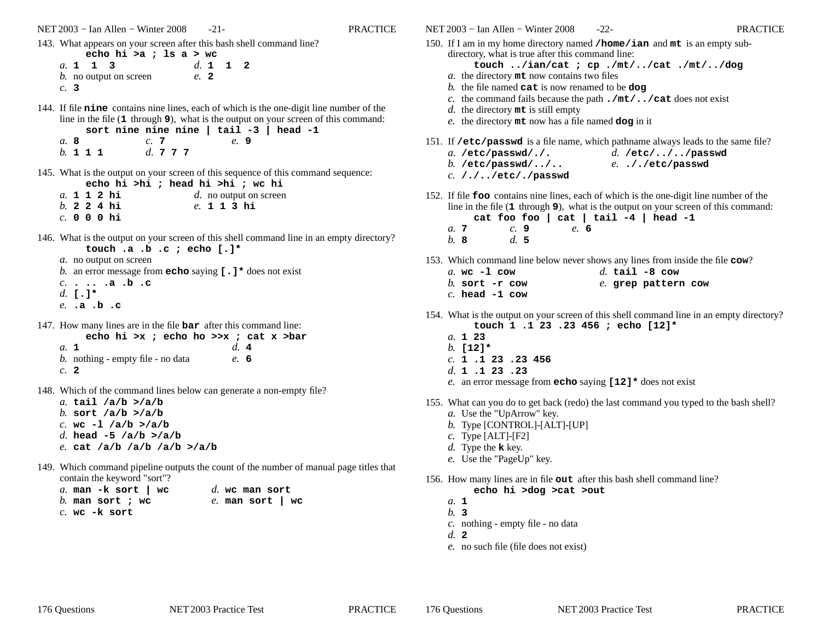NET 2003 <sup>−</sup> Ian Allen − Winter 2008 -21- PRACTICE

143. What appears on your screen after this bash shell command line?

|     | echo hi >a ; ls a > wc         |      |          |  |
|-----|--------------------------------|------|----------|--|
|     | a. 1 1 3                       |      | d. 1 1 2 |  |
|     | <i>b</i> . no output on screen | e. 2 |          |  |
| c.3 |                                |      |          |  |

144. If file **nine** contains nine lines, each of which is the one-digit line number of the line in the file (**1** through **<sup>9</sup>**), what is the output on your screen of this command: **sort nine nine nine | tail -3 | head -1**

| a. 8     |  |  | C. 7         |  |  | e. 9 |  |
|----------|--|--|--------------|--|--|------|--|
| b. 1 1 1 |  |  | d. $7\,7\,7$ |  |  |      |  |

145. What is the output on your screen of this sequence of this command sequence: **echo hi >hi ; head hi >hi ; wc hi**

|  |  | a. 1 1 2 hi    | d. no output on screen |
|--|--|----------------|------------------------|
|  |  | $b. 2 2 4 h$ i | e. 1 1 3 hi            |
|  |  | $c.$ 000 hi    |                        |

146. What is the output on your screen of this shell command line in an empty directory?**touch .a .b .c ; echo [.]\***

**echo hi >x ; echo ho >>x ; cat x >bar**

*a.* no output on screen *b.* an error message from **echo** saying **[.]\*** does not exist *c.* **. .. .a .b .c** *d.* **[.]\****e.* **.a .b .c**

147. How many lines are in the file **bar** after this command line:

| echo hi >x; echo ho >>x; cat x           |      |  |
|------------------------------------------|------|--|
| a. 1                                     | d.4  |  |
| <i>b.</i> nothing - empty file - no data | e. 6 |  |
| $c1$ 2                                   |      |  |

- 148. Which of the command lines below can generate a non-empty file?
	- *a.* **tail /a/b >/a/b** *b.* **sort /a/b >/a/b** *c.* **wc -l /a/b >/a/b** *d.* **head -5 /a/b >/a/b***e.* **cat /a/b /a/b /a/b >/a/b**
- 149. Which command pipeline outputs the count of the number of manual page titles that contain the keyword "sort"?

| a. man $-k$ sort   wc | $d.$ wc man sort   |
|-----------------------|--------------------|
| b. man sort ; wc      | $e.$ man sort   wc |
| $c.$ wc $-k$ sort     |                    |

- NET 2003 <sup>−</sup> Ian Allen − Winter 2008 -22- PRACTICE150. If <sup>I</sup> am in my home directory named **/home/ian** and **mt** is an empty subdirectory, what is true after this command line: **touch ../ian/cat ; cp ./mt/../cat ./mt/../dog***a.* the directory **mt** now contains two files *b.* the file named **cat** is now renamed to be **dog** *c.* the command fails because the path **./mt/../cat** does not exist *d.* the directory **mt** is still empty *e.* the directory **mt** now has a file named **dog** in it 151. If **/etc/passwd** is a file name, which pathname always leads to the same file? *a.* **/etc/passwd/./.** *b.* **/etc/passwd/../..** *c.* **/./../etc/./passwd***d.* **/etc/../../passwd***e.* **././etc/passwd**152. If file **foo** contains nine lines, each of which is the one-digit line number of the line in the file (**1** through **<sup>9</sup>**), what is the output on your screen of this command: **cat foo foo | cat | tail -4 | head -1***a.* **<sup>7</sup>** *b.* **8***c.* **9** *d.* **5***e.* **6**153. Which command line below never shows any lines from inside the file **cow**? *a.* **wc -l cow** *b.* **sort -r cow** *c.* **head -1 cow***d.* **tail -8 cow** *e.* **grep pattern cow**154. What is the output on your screen of this shell command line in an empty directory?**touch 1 .1 23 .23 456 ; echo [12]\****a.* **<sup>1</sup> <sup>23</sup>** *b.* **[12]\*** *c.* **<sup>1</sup> .1 <sup>23</sup> .23 456** *d.* **<sup>1</sup> .1 <sup>23</sup> .23** *e.* an error message from **echo** saying **[12]\*** does not exist 155. What can you do to get back (redo) the last command you typed to the bash shell?*a.* Use the "UpArrow" key. *b.* Type [CONTROL]-[ALT]-[UP]*c.* Type [ALT]-[F2]*d.* Type the **<sup>k</sup>** key. *e.* Use the "PageUp" key. 156. How many lines are in file **out** after this bash shell command line? **echo hi >dog >cat >out***a.* **<sup>1</sup>** *b.* **3** *c.* nothing - empty file - no data
	- *d.* **<sup>2</sup>**
	- *e.* no such file (file does not exist)

176 Questions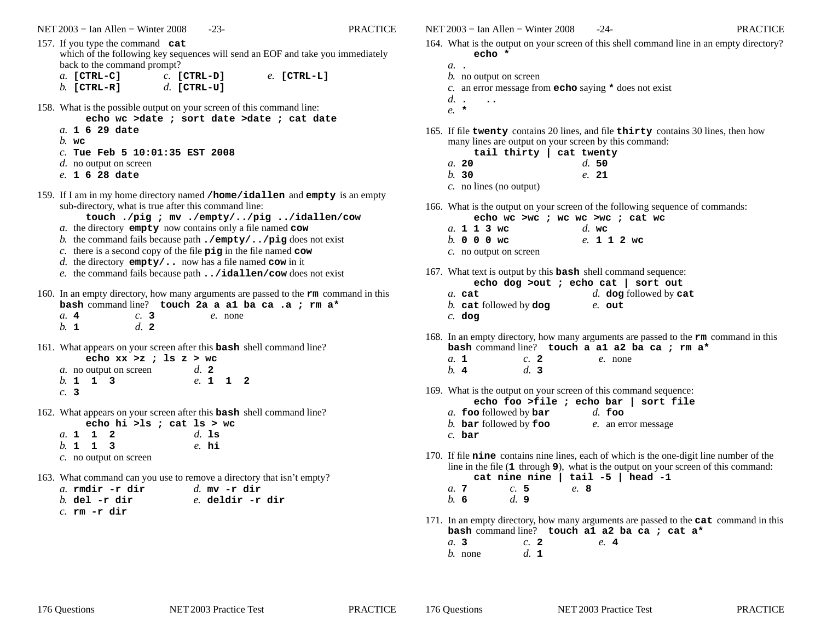- 157. If you type the command **cat** which of the following key sequences will send an EOF and take you immediatelyback to the command prompt? *c.* **[CTRL-D]***a.* **[CTRL-C]***e.* **[CTRL-L]**
	- *b.* **[CTRL-R]***d.* **[CTRL-U]**

158. What is the possible output on your screen of this command line:

- **echo wc >date ; sort date >date ; cat date**
- *a.* **<sup>1</sup> <sup>6</sup> <sup>29</sup> date**
- *b.* **wc**
- *c.* **Tue Feb 5 10:01:35 EST 2008**
- *d.* no output on screen
- *e.* **<sup>1</sup> <sup>6</sup> <sup>28</sup> date**
- 159. If <sup>I</sup> am in my home directory named **/home/idallen** and **empty** is an empty sub-directory, what is true after this command line:
	- **touch ./pig ; mv ./empty/../pig ../idallen/cow**
	- *a.* the directory **empty** now contains only a file named **cow**
	- *b.* the command fails because path **./empty/../pig** does not exist
	- *c.* there is a second copy of the file **pig** in the file named **cow**
	- *d.* the directory **empty/..** now has a file named **cow** in it
	- *e.* the command fails because path **../idallen/cow** does not exist
- 160. In an empty directory, how many arguments are passed to the **rm** command in this **bash** command line? **touch 2a a a1 ba ca .a ; rm a\***

| $a$ . 4 | $c.$ 3 |  | e. none |
|---------|--------|--|---------|
| $b.$ 1  | d.2    |  |         |

161. What appears on your screen after this **bash** shell command line?

|        |          | echo xx >z ; 1s z > wc         |  |  |                |  |
|--------|----------|--------------------------------|--|--|----------------|--|
|        |          | <i>a</i> . no output on screen |  |  | $d_{\alpha}$ 2 |  |
|        | b. 1 1 3 |                                |  |  | e 1 1 2        |  |
| $c.$ 3 |          |                                |  |  |                |  |

162. What appears on your screen after this **bash** shell command line? **echo hi >ls ; cat ls > wc**

|  |          | $\frac{1}{2}$ ecuo ur > 18 ; cat is > $\frac{1}{2}$ |  |  |          |  |
|--|----------|-----------------------------------------------------|--|--|----------|--|
|  | a. 1 1 2 |                                                     |  |  | $d.$ 1s  |  |
|  | h. 1 1 3 |                                                     |  |  | $e$ . hi |  |
|  |          | c. no output on screen                              |  |  |          |  |

163. What command can you use to remove a directory that isn't empty?

| a. rmdir -r dir | d. mv $-r$ dir  |
|-----------------|-----------------|
| $b.$ del -r dir | e deldir -r dir |
| $c.$ rm -r dir  |                 |

NET 2003 <sup>−</sup> Ian Allen − Winter 2008 -24- PRACTICE

- 164. What is the output on your screen of this shell command line in an empty directory?**echo \***
	- *a.* **.**
	- *b.* no output on screen
	- *c.* an error message from **echo** saying **\*** does not exist
	- *d.* **. ..**
	- *e.* **\***
- 165. If file **twenty** contains 20 lines, and file **thirty** contains 30 lines, then howmany lines are output on your screen by this command:

| tail thirty   cat twenty |       |
|--------------------------|-------|
| a. 20                    | d.50  |
| h.30                     | e. 21 |
| c. no lines (no output)  |       |

- 166. What is the output on your screen of the following sequence of commands:
	- **echo wc >wc ; wc wc >wc ; cat wc**
	- *a.* **113wc** *b.* **000wc** *c.* no output on screen*d.* **wc***e.* **112wc**
- 167. What text is output by this **bash** shell command sequence:
	- **echo dog >out ; echo cat | sort out**
	- *d.* **dog** followed by **cat** *a.* **cat** *b.* **cat** followed by **dog** *c.* **dog***e.* **out**
- 168. In an empty directory, how many arguments are passed to the **rm** command in this **bash** command line? **touch a a1 a2 ba ca ; rm a\***
	- *a.* **<sup>1</sup>** *b.* **<sup>4</sup>***c.* **<sup>2</sup>** *d.* **3***e.* none
- 169. What is the output on your screen of this command sequence:
	- **echo foo >file ; echo bar | sort file**
	- *a.* **foo** followed by **bar** *d.* **foo**
	- *b.* **bar** followed by **foo** *e.* an error message
	- *c.* **bar**
- 170. If file **nine** contains nine lines, each of which is the one-digit line number of the line in the file (**1** through **<sup>9</sup>**), what is the output on your screen of this command:

**cat nine nine | tail -5 | head -1***a.* **<sup>7</sup>** *b.* **6***c.* **5** *d.* **9***e.* **8**

- 171. In an empty directory, how many arguments are passed to the **cat** command in this **bash** command line? **touch a1 a2 ba ca ; cat a\***
	- *a.* **3** *b.* none*c.* **<sup>2</sup>** *d.* **<sup>1</sup>***e.* **<sup>4</sup>**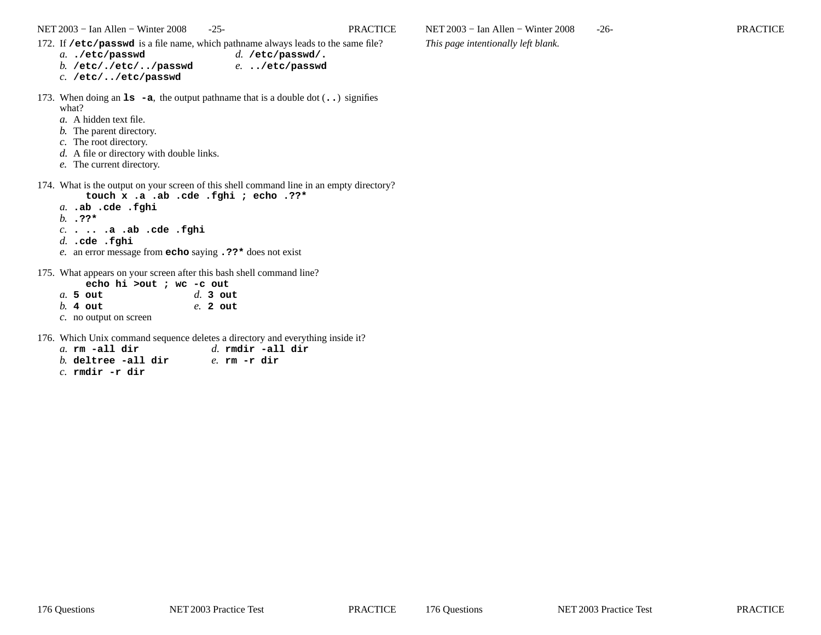NET 2003 <sup>−</sup> Ian Allen − Winter 2008 -25- PRACTICE

- 172. If **/etc/passwd** is a file name, which pathname always leads to the same file?
	- *a.* **./etc/passwd** *b.* **/etc/./etc/../passwd***d.* **/etc/passwd/.***e.* **../etc/passwd**
	- *c.* **/etc/../etc/passwd**
- 173. When doing an **ls -a**, the output pathname that is a double dot (**..**) signifies what?
	- *a.* A hidden text file.
	- *b.* The parent directory.
	- *c.* The root directory.
	- *d.* A file or directory with double links.
	- *e.* The current directory.
- 174. What is the output on your screen of this shell command line in an empty directory?**touch x .a .ab .cde .fghi ; echo .??\***
	- *a.* **.ab .cde .fghi***b.* **.??\****c.* **. .. .a .ab .cde .fghi**
	- *d.* **.cde .fghi**
	- *e.* an error message from **echo** saying **.??\*** does not exist
- 175. What appears on your screen after this bash shell command line?

|  |                        | echo hi >out ; wc -c out |  |  |            |  |
|--|------------------------|--------------------------|--|--|------------|--|
|  | $a.5$ out              |                          |  |  | $d.$ 3 out |  |
|  | $h.$ 4 out             |                          |  |  | $e. 2$ out |  |
|  | c. no output on screen |                          |  |  |            |  |

176. Which Unix command sequence deletes a directory and everything inside it?

| $a$ . rm -all dir      | $d.$ rmdir -all dir |  |
|------------------------|---------------------|--|
| $b$ . deltree -all dir | e. rm -r dir        |  |
| $c.$ rmdir -r dir      |                     |  |